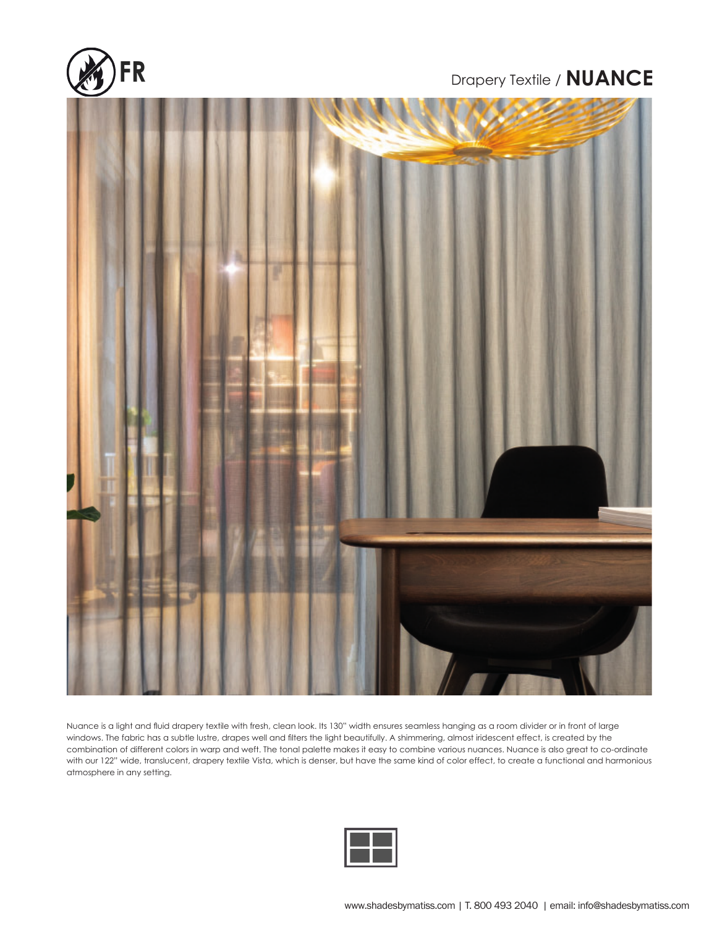

## Drapery Textile / **NUANCE**



windows. The fabric has a subtle lustre, drapes well and filters the light beautifully. A shimmering, almost iridescent effect, is created by the<br>combination of different colors in warp and weft. The tonal palette makes it Nuance is a light and fluid drapery textile with fresh, clean look. Its 130" width ensures seamless hanging as a room divider or in front of large windows. The fabric has a subtle lustre, drapes well and filters the light beautifully. A shimmering, almost iridescent effect, is created by the with our 122" wide, translucent, drapery textile Vista, which is denser, but have the same kind of color effect, to create a functional and harmonious atmosphere in any setting.